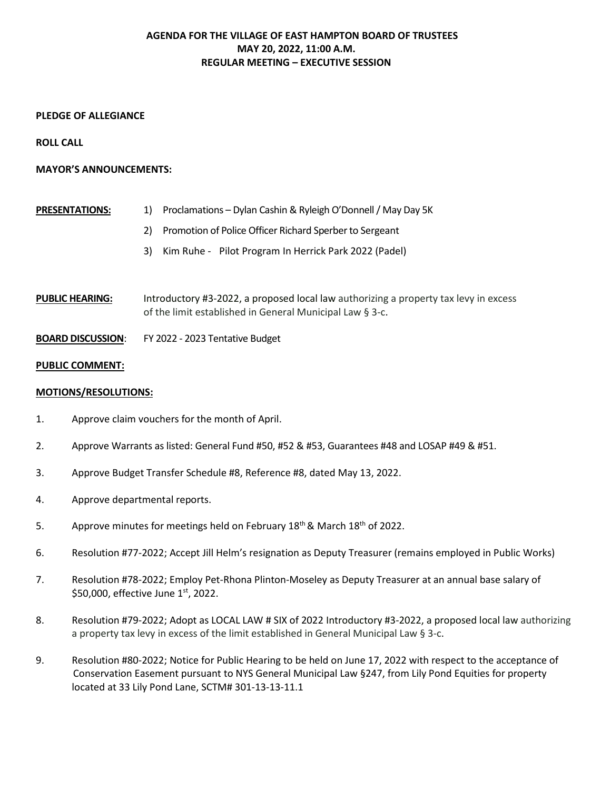# **AGENDA FOR THE VILLAGE OF EAST HAMPTON BOARD OF TRUSTEES MAY 20, 2022, 11:00 A.M. REGULAR MEETING – EXECUTIVE SESSION**

## **PLEDGE OF ALLEGIANCE**

**ROLL CALL** 

### **MAYOR'S ANNOUNCEMENTS:**

| <b>PRESENTATIONS:</b> | 1) Proclamations – Dylan Cashin & Ryleigh O'Donnell / May Day 5K |
|-----------------------|------------------------------------------------------------------|
|                       | 2) Promotion of Police Officer Richard Sperber to Sergeant       |
|                       | 3) Kim Ruhe - Pilot Program In Herrick Park 2022 (Padel)         |
|                       |                                                                  |

**PUBLIC HEARING:** Introductory #3-2022, a proposed local law authorizing a property tax levy in excess of the limit established in General Municipal Law § 3-c.

**BOARD DISCUSSION**: FY 2022 - 2023 Tentative Budget

### **PUBLIC COMMENT:**

### **MOTIONS/RESOLUTIONS:**

- 1. Approve claim vouchers for the month of April.
- 2. Approve Warrants as listed: General Fund #50, #52 & #53, Guarantees #48 and LOSAP #49 & #51.
- 3. Approve Budget Transfer Schedule #8, Reference #8, dated May 13, 2022.
- 4. Approve departmental reports.
- 5. Approve minutes for meetings held on February 18<sup>th</sup> & March 18<sup>th</sup> of 2022.
- 6. Resolution #77-2022; Accept Jill Helm's resignation as Deputy Treasurer (remains employed in Public Works)
- 7. Resolution #78-2022; Employ Pet-Rhona Plinton-Moseley as Deputy Treasurer at an annual base salary of \$50,000, effective June 1<sup>st</sup>, 2022.
- 8. Resolution #79-2022; Adopt as LOCAL LAW # SIX of 2022 Introductory #3-2022, a proposed local law authorizing a property tax levy in excess of the limit established in General Municipal Law § 3-c.
- 9. Resolution #80-2022; Notice for Public Hearing to be held on June 17, 2022 with respect to the acceptance of Conservation Easement pursuant to NYS General Municipal Law §247, from Lily Pond Equities for property located at 33 Lily Pond Lane, SCTM# 301-13-13-11.1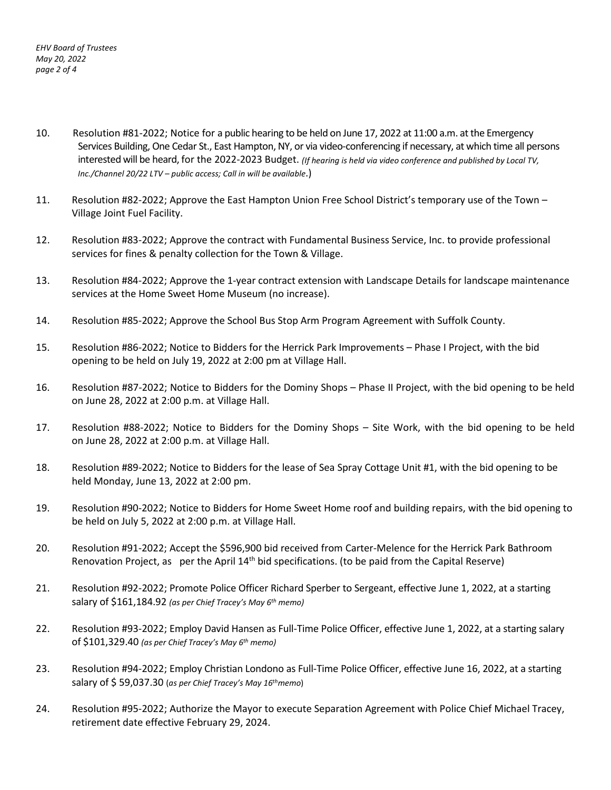- 10. Resolution #81-2022; Notice for a public hearing to be held on June 17, 2022 at 11:00 a.m. at the Emergency Services Building, One Cedar St., East Hampton, NY, or via video-conferencing if necessary, at which time all persons interested will be heard, for the 2022-2023 Budget. *(If hearing is held via video conference and published by Local TV, Inc./Channel 20/22 LTV – public access; Call in will be available*.)
- 11. Resolution #82-2022; Approve the East Hampton Union Free School District's temporary use of the Town Village Joint Fuel Facility.
- 12. Resolution #83-2022; Approve the contract with Fundamental Business Service, Inc. to provide professional services for fines & penalty collection for the Town & Village.
- 13. Resolution #84-2022; Approve the 1-year contract extension with Landscape Details for landscape maintenance services at the Home Sweet Home Museum (no increase).
- 14. Resolution #85-2022; Approve the School Bus Stop Arm Program Agreement with Suffolk County.
- 15. Resolution #86-2022; Notice to Bidders for the Herrick Park Improvements Phase I Project, with the bid opening to be held on July 19, 2022 at 2:00 pm at Village Hall.
- 16. Resolution #87-2022; Notice to Bidders for the Dominy Shops Phase II Project, with the bid opening to be held on June 28, 2022 at 2:00 p.m. at Village Hall.
- 17. Resolution #88-2022; Notice to Bidders for the Dominy Shops Site Work, with the bid opening to be held on June 28, 2022 at 2:00 p.m. at Village Hall.
- 18. Resolution #89-2022; Notice to Bidders for the lease of Sea Spray Cottage Unit #1, with the bid opening to be held Monday, June 13, 2022 at 2:00 pm.
- 19. Resolution #90-2022; Notice to Bidders for Home Sweet Home roof and building repairs, with the bid opening to be held on July 5, 2022 at 2:00 p.m. at Village Hall.
- 20. Resolution #91-2022; Accept the \$596,900 bid received from Carter-Melence for the Herrick Park Bathroom Renovation Project, as per the April  $14<sup>th</sup>$  bid specifications. (to be paid from the Capital Reserve)
- 21. Resolution #92-2022; Promote Police Officer Richard Sperber to Sergeant, effective June 1, 2022, at a starting salary of \$161,184.92 *(as per Chief Tracey's May 6th memo)*
- 22. Resolution #93-2022; Employ David Hansen as Full-Time Police Officer, effective June 1, 2022, at a starting salary of \$101,329.40 *(as per Chief Tracey's May 6th memo)*
- 23. Resolution #94-2022; Employ Christian Londono as Full-Time Police Officer, effective June 16, 2022, at a starting salary of \$ 59,037.30 (*as per Chief Tracey's May 16thmemo*)
- 24. Resolution #95-2022; Authorize the Mayor to execute Separation Agreement with Police Chief Michael Tracey, retirement date effective February 29, 2024.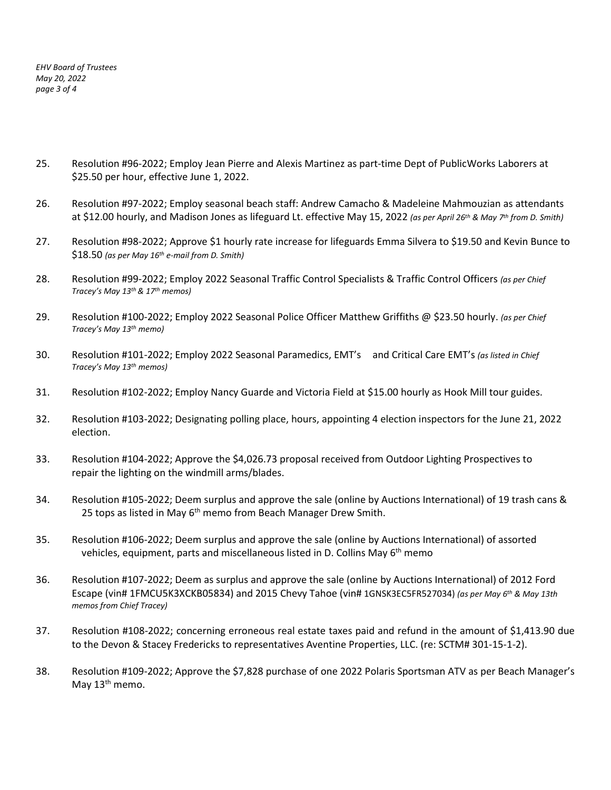*EHV Board of Trustees May 20, 2022 page 3 of 4* 

- 25. Resolution #96-2022; Employ Jean Pierre and Alexis Martinez as part-time Dept of PublicWorks Laborers at \$25.50 per hour, effective June 1, 2022.
- 26. Resolution #97-2022; Employ seasonal beach staff: Andrew Camacho & Madeleine Mahmouzian as attendants at \$12.00 hourly, and Madison Jones as lifeguard Lt. effective May 15, 2022 *(as per April 26th & May 7th from D. Smith)*
- 27. Resolution #98-2022; Approve \$1 hourly rate increase for lifeguards Emma Silvera to \$19.50 and Kevin Bunce to \$18.50 *(as per May 16th e-mail from D. Smith)*
- 28. Resolution #99-2022; Employ 2022 Seasonal Traffic Control Specialists & Traffic Control Officers *(as per Chief Tracey's May 13th& 17th memos)*
- 29. Resolution #100-2022; Employ 2022 Seasonal Police Officer Matthew Griffiths @ \$23.50 hourly. *(as per Chief Tracey's May 13th memo)*
- 30. Resolution #101-2022; Employ 2022 Seasonal Paramedics, EMT's and Critical Care EMT's *(as listed in Chief Tracey's May 13th memos)*
- 31. Resolution #102-2022; Employ Nancy Guarde and Victoria Field at \$15.00 hourly as Hook Mill tour guides.
- 32. Resolution #103-2022; Designating polling place, hours, appointing 4 election inspectors for the June 21, 2022 election.
- 33. Resolution #104-2022; Approve the \$4,026.73 proposal received from Outdoor Lighting Prospectives to repair the lighting on the windmill arms/blades.
- 34. Resolution #105-2022; Deem surplus and approve the sale (online by Auctions International) of 19 trash cans & 25 tops as listed in May 6<sup>th</sup> memo from Beach Manager Drew Smith.
- 35. Resolution #106-2022; Deem surplus and approve the sale (online by Auctions International) of assorted vehicles, equipment, parts and miscellaneous listed in D. Collins May  $6<sup>th</sup>$  memo
- 36. Resolution #107-2022; Deem as surplus and approve the sale (online by Auctions International) of 2012 Ford Escape (vin# 1FMCU5K3XCKB05834) and 2015 Chevy Tahoe (vin# 1GNSK3EC5FR527034) *(as per May 6th & May 13th memos from Chief Tracey)*
- 37. Resolution #108-2022; concerning erroneous real estate taxes paid and refund in the amount of \$1,413.90 due to the Devon & Stacey Fredericks to representatives Aventine Properties, LLC. (re: SCTM# 301-15-1-2).
- 38. Resolution #109-2022; Approve the \$7,828 purchase of one 2022 Polaris Sportsman ATV as per Beach Manager's May 13<sup>th</sup> memo.